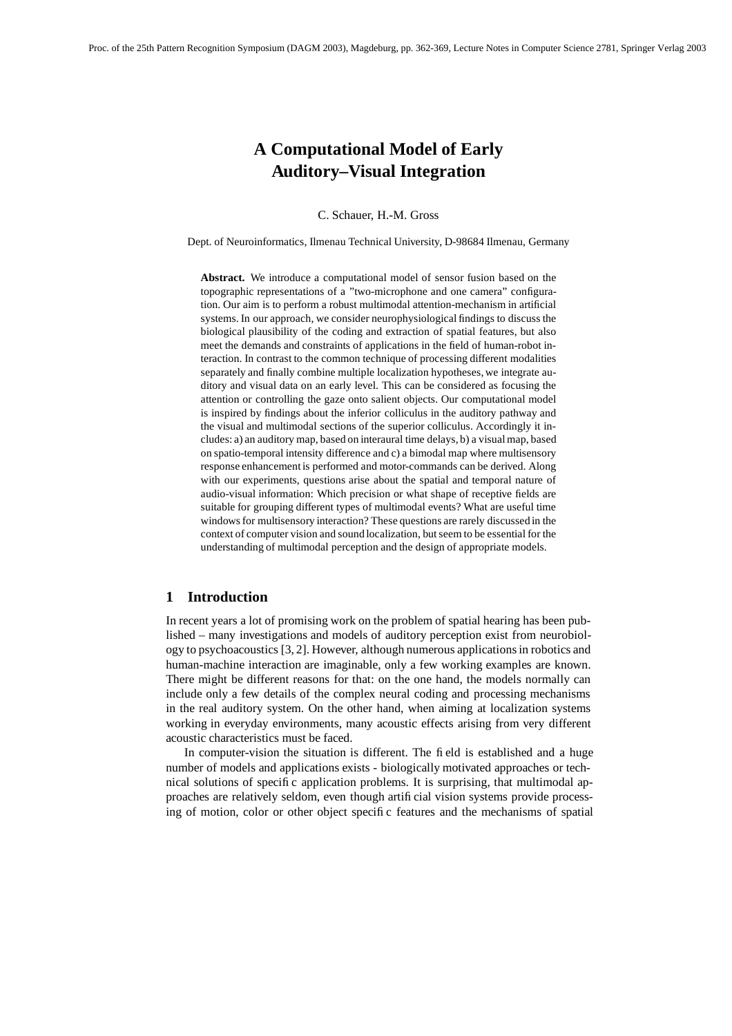# **A Computational Model of Early Auditory–Visual Integration**

#### C. Schauer, H.-M. Gross

Dept. of Neuroinformatics, Ilmenau Technical University, D-98684 Ilmenau, Germany

**Abstract.** We introduce a computational model of sensor fusion based on the topographic representations of a "two-microphone and one camera" configuration. Our aim is to perform a robust multimodal attention-mechanism in artificial systems. In our approach, we consider neurophysiological findings to discuss the biological plausibility of the coding and extraction of spatial features, but also meet the demands and constraints of applications in the field of human-robot interaction. In contrast to the common technique of processing different modalities separately and finally combine multiple localization hypotheses, we integrate auditory and visual data on an early level. This can be considered as focusing the attention or controlling the gaze onto salient objects. Our computational model is inspired by findings about the inferior colliculus in the auditory pathway and the visual and multimodal sections of the superior colliculus. Accordingly it includes: a) an auditory map, based on interaural time delays, b) a visual map, based on spatio-temporal intensity difference and c) a bimodal map where multisensory response enhancement is performed and motor-commands can be derived. Along with our experiments, questions arise about the spatial and temporal nature of audio-visual information: Which precision or what shape of receptive fields are suitable for grouping different types of multimodal events? What are useful time windows for multisensory interaction? These questions are rarely discussed in the context of computer vision and sound localization, but seem to be essential for the understanding of multimodal perception and the design of appropriate models.

## **1 Introduction**

In recent years a lot of promising work on the problem of spatial hearing has been published – many investigations and models of auditory perception exist from neurobiology to psychoacoustics [3, 2]. However, although numerous applicationsin robotics and human-machine interaction are imaginable, only a few working examples are known. There might be different reasons for that: on the one hand, the models normally can include only a few details of the complex neural coding and processing mechanisms in the real auditory system. On the other hand, when aiming at localization systems working in everyday environments, many acoustic effects arising from very different acoustic characteristics must be faced.

In computer-vision the situation is different. The field is established and a huge number of models and applications exists - biologically motivated approaches or technical solutions of specific application problems. It is surprising, that multimodal approaches are relatively seldom, even though artificial vision systems provide processing of motion, color or other object specific features and the mechanisms of spatial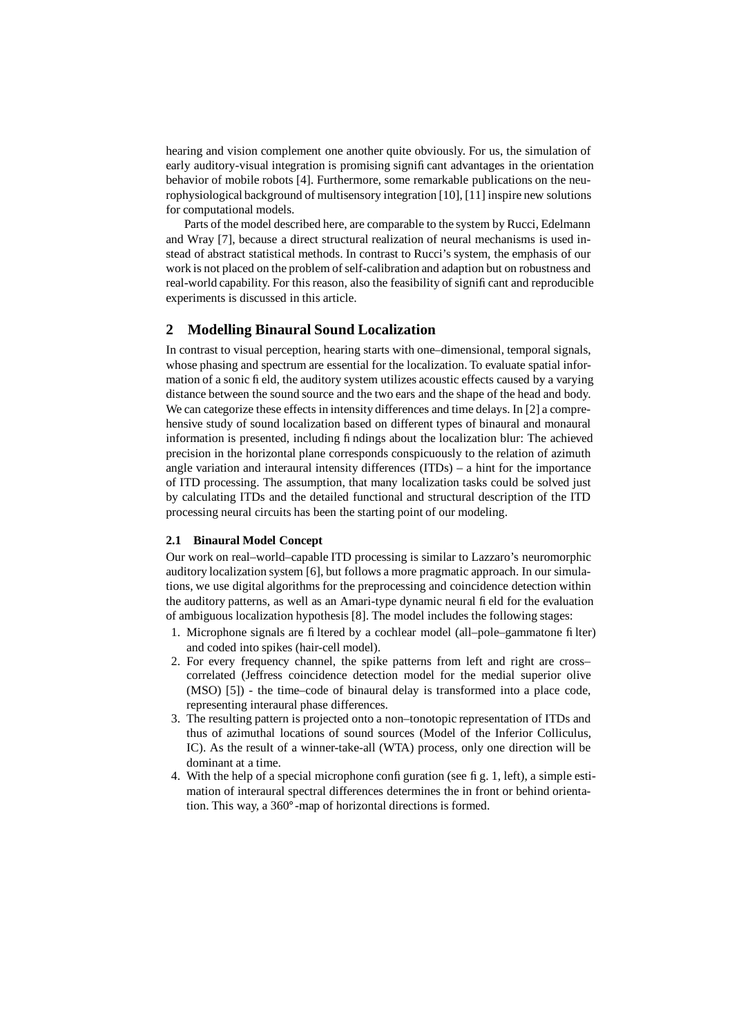hearing and vision complement one another quite obviously. For us, the simulation of early auditory-visual integration is promising significant advantages in the orientation behavior of mobile robots [4]. Furthermore, some remarkable publications on the neurophysiological background of multisensory integration [10], [11] inspire new solutions for computational models.

Parts of the model described here, are comparable to the system by Rucci, Edelmann and Wray [7], because a direct structural realization of neural mechanisms is used instead of abstract statistical methods. In contrast to Rucci's system, the emphasis of our work is not placed on the problem of self-calibration and adaption but on robustness and real-world capability. For this reason, also the feasibility of significant and reproducible experiments is discussed in this article.

## **2 Modelling Binaural Sound Localization**

In contrast to visual perception, hearing starts with one–dimensional, temporal signals, whose phasing and spectrum are essential for the localization. To evaluate spatial information of a sonic field, the auditory system utilizes acoustic effects caused by a varying distance between the sound source and the two ears and the shape of the head and body. We can categorize these effects in intensity differences and time delays. In [2] a comprehensive study of sound localization based on different types of binaural and monaural information is presented, including findings about the localization blur: The achieved precision in the horizontal plane corresponds conspicuously to the relation of azimuth angle variation and interaural intensity differences (ITDs) – a hint for the importance of ITD processing. The assumption, that many localization tasks could be solved just by calculating ITDs and the detailed functional and structural description of the ITD processing neural circuits has been the starting point of our modeling.

## **2.1 Binaural Model Concept**

Our work on real–world–capable ITD processing is similar to Lazzaro's neuromorphic auditory localization system [6], but follows a more pragmatic approach. In our simulations, we use digital algorithms for the preprocessing and coincidence detection within the auditory patterns, as well as an Amari-type dynamic neural field for the evaluation of ambiguous localization hypothesis [8]. The model includes the following stages:

- 1. Microphone signals are filtered by a cochlear model (all–pole–gammatone filter) and coded into spikes (hair-cell model).
- 2. For every frequency channel, the spike patterns from left and right are cross– correlated (Jeffress coincidence detection model for the medial superior olive (MSO) [5]) - the time–code of binaural delay is transformed into a place code, representing interaural phase differences.
- 3. The resulting pattern is projected onto a non–tonotopic representation of ITDs and thus of azimuthal locations of sound sources (Model of the Inferior Colliculus, IC). As the result of a winner-take-all (WTA) process, only one direction will be dominant at a time.
- 4. With the help of a special microphone configuration (see fig. 1, left), a simple estimation of interaural spectral differences determines the in front or behind orientation. This way, a 360°-map of horizontal directions is formed.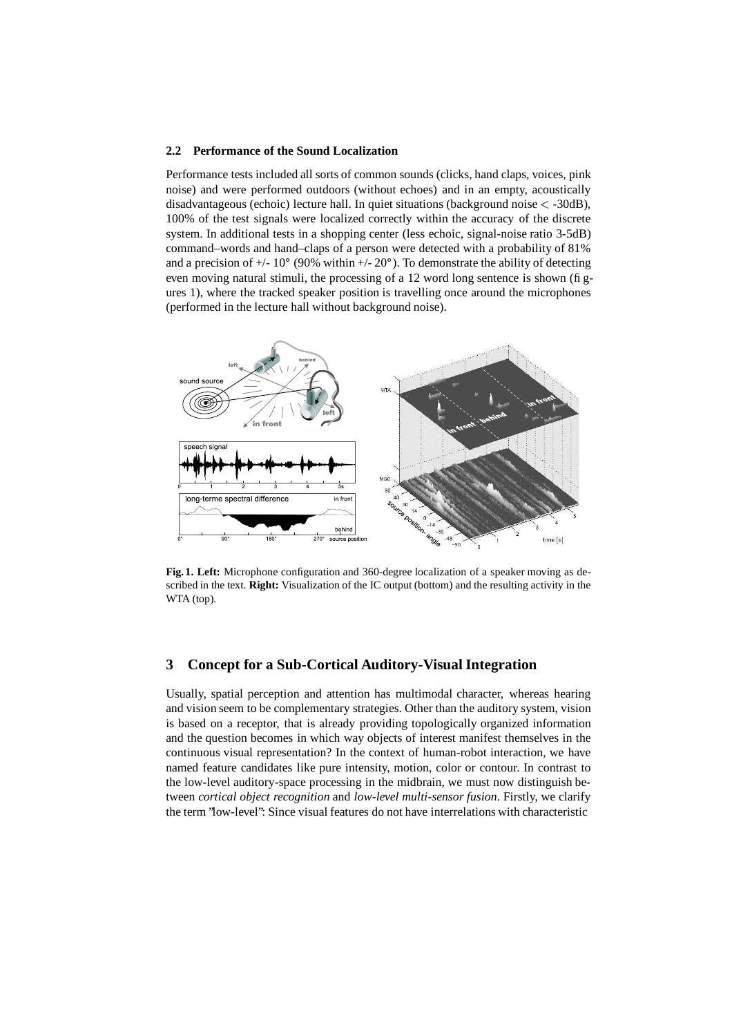#### **2.2 Performance of the Sound Localization**

Performance tests included all sorts of common sounds (clicks, hand claps, voices, pink noise) and were performed outdoors (without echoes) and in an empty, acoustically disadvantageous (echoic) lecture hall. In quiet situations (background noise  $\langle$  -30dB), 100% of the test signals were localized correctly within the accuracy of the discrete system. In additional tests in a shopping center (less echoic, signal-noise ratio 3-5dB) command–words and hand–claps of a person were detected with a probability of 81% and a precision of  $+/- 10^{\circ}$  (90% within  $+/- 20^{\circ}$ ). To demonstrate the ability of detecting even moving natural stimuli, the processing of a 12 word long sentence is shown (figures 1), where the tracked speaker position is travelling once around the microphones (performed in the lecture hall without background noise).



**Fig. 1. Left:** Microphone configuration and 360-degree localization of a speaker moving as described in the text. **Right:** Visualization of the IC output (bottom) and the resulting activity in the WTA (top).

## **3 Concept for a Sub-Cortical Auditory-Visual Integration**

Usually, spatial perception and attention has multimodal character, whereas hearing and vision seem to be complementary strategies. Other than the auditory system, vision is based on a receptor, that is already providing topologically organized information and the question becomes in which way objects of interest manifest themselves in the continuous visual representation? In the context of human-robot interaction, we have named feature candidates like pure intensity, motion, color or contour. In contrast to the low-level auditory-space processing in the midbrain, we must now distinguish between *cortical object recognition* and *low-level multi-sensor fusion*. Firstly, we clarify the term "low-level": Since visual features do not have interrelations with characteristic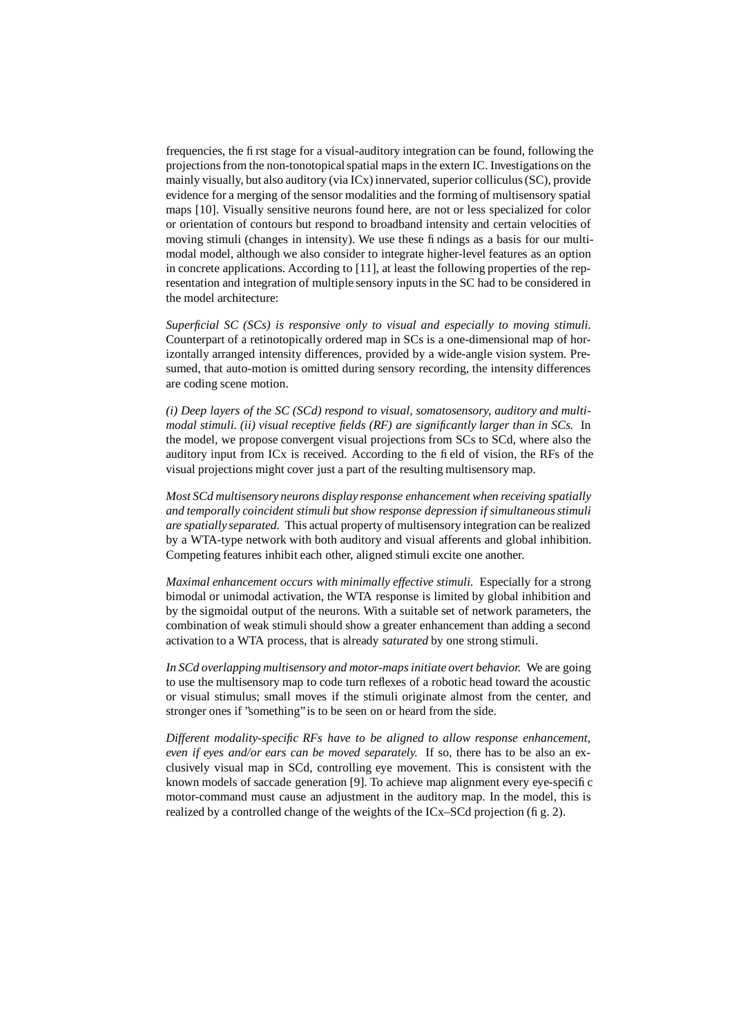frequencies, the first stage for a visual-auditory integration can be found, following the projectionsfrom the non-tonotopicalspatial maps in the extern IC. Investigations on the mainly visually, but also auditory (via ICx) innervated, superior colliculus(SC), provide evidence for a merging of the sensor modalities and the forming of multisensory spatial maps [10]. Visually sensitive neurons found here, are not or less specialized for color or orientation of contours but respond to broadband intensity and certain velocities of moving stimuli (changes in intensity). We use these findings as a basis for our multimodal model, although we also consider to integrate higher-level features as an option in concrete applications. According to [11], at least the following properties of the representation and integration of multiple sensory inputs in the SC had to be considered in the model architecture:

*Superficial SC (SCs) is responsive only to visual and especially to moving stimuli.* Counterpart of a retinotopically ordered map in SCs is a one-dimensional map of horizontally arranged intensity differences, provided by a wide-angle vision system. Presumed, that auto-motion is omitted during sensory recording, the intensity differences are coding scene motion.

*(i) Deep layers of the SC (SCd) respond to visual, somatosensory, auditory and multimodal stimuli. (ii) visual receptive fields (RF) are significantly larger than in SCs.* In the model, we propose convergent visual projections from SCs to SCd, where also the auditory input from ICx is received. According to the field of vision, the RFs of the visual projections might cover just a part of the resulting multisensory map.

*Most SCd multisensory neurons display response enhancement when receiving spatially and temporally coincident stimuli but show response depression if simultaneousstimuli are spatially separated.* This actual property of multisensory integration can be realized by a WTA-type network with both auditory and visual afferents and global inhibition. Competing features inhibit each other, aligned stimuli excite one another.

*Maximal enhancement occurs with minimally effective stimuli.* Especially for a strong bimodal or unimodal activation, the WTA response is limited by global inhibition and by the sigmoidal output of the neurons. With a suitable set of network parameters, the combination of weak stimuli should show a greater enhancement than adding a second activation to a WTA process, that is already *saturated* by one strong stimuli.

*In SCd overlapping multisensory and motor-maps initiate overt behavior.* We are going to use the multisensory map to code turn reflexes of a robotic head toward the acoustic or visual stimulus; small moves if the stimuli originate almost from the center, and stronger ones if "something" is to be seen on or heard from the side.

*Different modality-specific RFs have to be aligned to allow response enhancement, even if eyes and/or ears can be moved separately.* If so, there has to be also an exclusively visual map in SCd, controlling eye movement. This is consistent with the known models of saccade generation [9]. To achieve map alignment every eye-specific motor-command must cause an adjustment in the auditory map. In the model, this is realized by a controlled change of the weights of the ICx–SCd projection (fig. 2).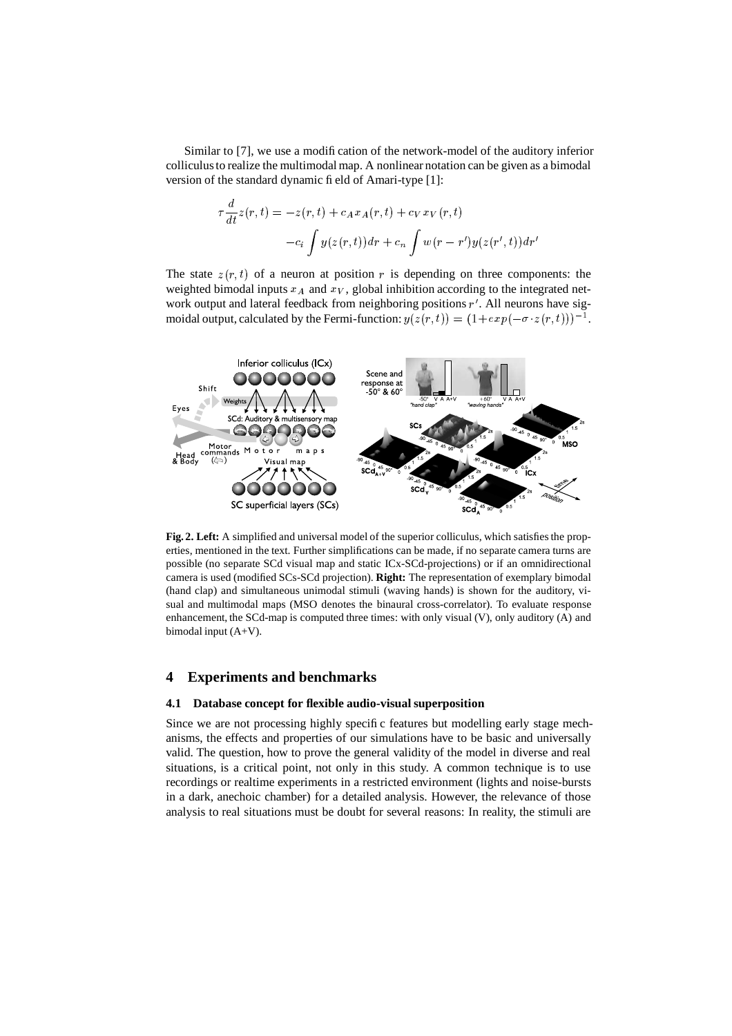Similar to [7], we use a modification of the network-model of the auditory inferior colliculusto realize the multimodalmap. A nonlinear notation can be given as a bimodal version of the standard dynamic field of Amari-type [1]:

$$
\tau \frac{d}{dt} z(r,t) = -z(r,t) + c_A x_A(r,t) + c_V x_V(r,t)
$$

$$
-c_i \int y(z(r,t)) dr + c_n \int w(r-r')y(z(r',t)) dr'
$$

The state  $z(r, t)$  of a neuron at position r is depending on three components: the weighted bimodal inputs  $x_A$  and  $x_V$ , global inhibition according to the integrated network output and lateral feedback from neighboring positions  $r'$ . All neurons have sigmoidal output, calculated by the Fermi-function:  $y(z(r, t)) = (1 + exp(-\sigma \cdot z(r, t)))^{-1}$ .



**Fig. 2. Left:** A simplified and universal model of the superior colliculus, which satisfies the properties, mentioned in the text. Further simplifications can be made, if no separate camera turns are possible (no separate SCd visual map and static ICx-SCd-projections) or if an omnidirectional camera is used (modified SCs-SCd projection). **Right:** The representation of exemplary bimodal (hand clap) and simultaneous unimodal stimuli (waving hands) is shown for the auditory, visual and multimodal maps (MSO denotes the binaural cross-correlator). To evaluate response enhancement, the SCd-map is computed three times: with only visual (V), only auditory (A) and bimodal input (A+V).

### **4 Experiments and benchmarks**

and the contract of the contract of the contract of the contract of the contract of the contract of the contract of the contract of the contract of the contract of the contract of the contract of the contract of the contra

#### **4.1 Database concept for flexible audio-visual superposition**

Since we are not processing highly specific features but modelling early stage mechanisms, the effects and properties of our simulations have to be basic and universally valid. The question, how to prove the general validity of the model in diverse and real situations, is a critical point, not only in this study. A common technique is to use recordings or realtime experiments in a restricted environment (lights and noise-bursts in a dark, anechoic chamber) for a detailed analysis. However, the relevance of those analysis to real situations must be doubt for several reasons: In reality, the stimuli are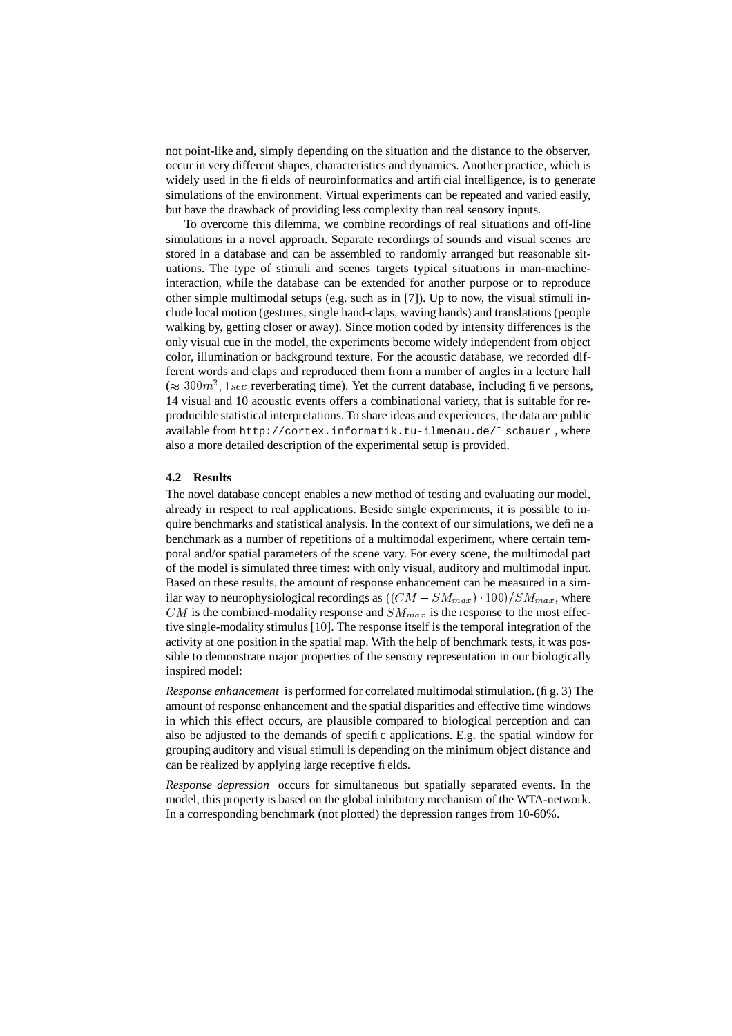not point-like and, simply depending on the situation and the distance to the observer, occur in very different shapes, characteristics and dynamics. Another practice, which is widely used in the fields of neuroinformatics and artificial intelligence, is to generate simulations of the environment. Virtual experiments can be repeated and varied easily, but have the drawback of providing less complexity than real sensory inputs.

To overcome this dilemma, we combine recordings of real situations and off-line simulations in a novel approach. Separate recordings of sounds and visual scenes are stored in a database and can be assembled to randomly arranged but reasonable situations. The type of stimuli and scenes targets typical situations in man-machineinteraction, while the database can be extended for another purpose or to reproduce other simple multimodal setups (e.g. such as in [7]). Up to now, the visual stimuli include local motion (gestures, single hand-claps, waving hands) and translations (people walking by, getting closer or away). Since motion coded by intensity differences is the only visual cue in the model, the experiments become widely independent from object color, illumination or background texture. For the acoustic database, we recorded different words and claps and reproduced them from a number of angles in a lecture hall  $(\approx 300 m^2, 1 sec$  reverberating time). Yet the current database, including five persons, 14 visual and 10 acoustic events offers a combinational variety, that is suitable for reproducible statistical interpretations. To share ideas and experiences, the data are public available from http://cortex.informatik.tu-ilmenau.de/˜ schauer , where also a more detailed description of the experimental setup is provided.

#### **4.2 Results**

The novel database concept enables a new method of testing and evaluating our model, already in respect to real applications. Beside single experiments, it is possible to inquire benchmarks and statistical analysis. In the context of our simulations, we define a benchmark as a number of repetitions of a multimodal experiment, where certain temporal and/or spatial parameters of the scene vary. For every scene, the multimodal part of the model is simulated three times: with only visual, auditory and multimodal input. Based on these results, the amount of response enhancement can be measured in a similar way to neurophysiological recordings as  $((CM - SM_{max}) \cdot 100)/SM_{max}$ , where CM is the combined-modality response and  $SM_{max}$  is the response to the most effective single-modality stimulus [10]. The response itself is the temporal integration of the activity at one position in the spatial map. With the help of benchmark tests, it was possible to demonstrate major properties of the sensory representation in our biologically inspired model:

*Response enhancement* is performed for correlated multimodal stimulation. (fig. 3) The amount of response enhancement and the spatial disparities and effective time windows in which this effect occurs, are plausible compared to biological perception and can also be adjusted to the demands of specific applications. E.g. the spatial window for grouping auditory and visual stimuli is depending on the minimum object distance and can be realized by applying large receptive fields.

*Response depression* occurs for simultaneous but spatially separated events. In the model, this property is based on the global inhibitory mechanism of the WTA-network. In a corresponding benchmark (not plotted) the depression ranges from 10-60%.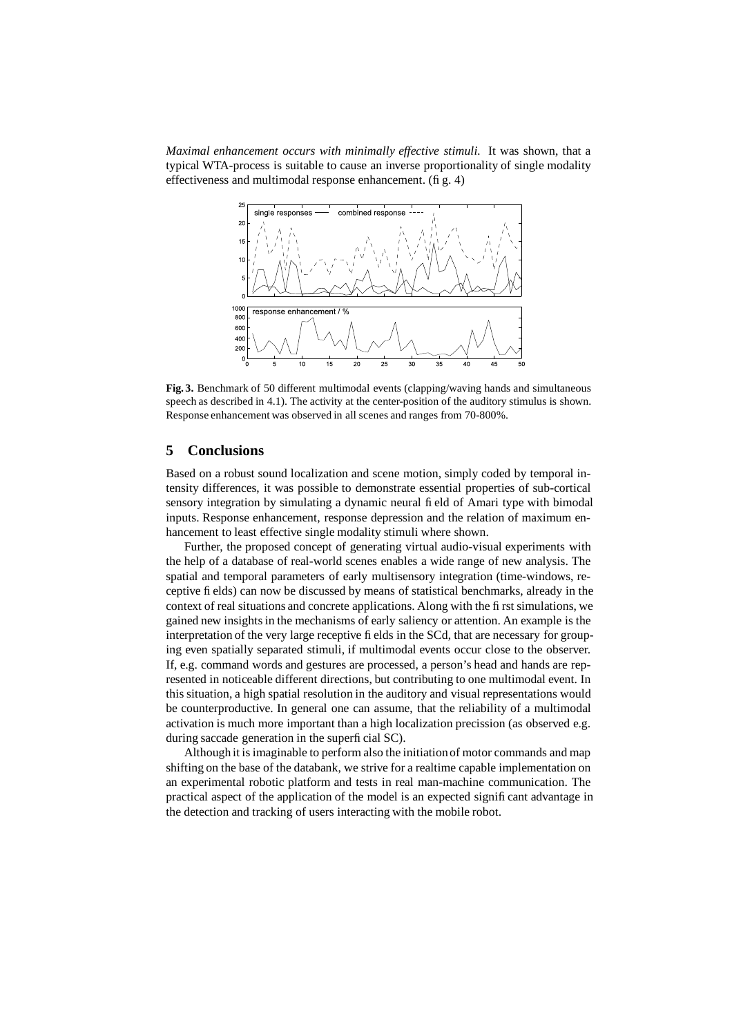*Maximal enhancement occurs with minimally effective stimuli.* It was shown, that a typical WTA-process is suitable to cause an inverse proportionality of single modality effectiveness and multimodal response enhancement. (fig. 4)



**Fig. 3.** Benchmark of 50 different multimodal events (clapping/waving hands and simultaneous speech as described in 4.1). The activity at the center-position of the auditory stimulus is shown. Response enhancement was observed in all scenes and ranges from 70-800%.

# **5 Conclusions**

Based on a robust sound localization and scene motion, simply coded by temporal intensity differences, it was possible to demonstrate essential properties of sub-cortical sensory integration by simulating a dynamic neural field of Amari type with bimodal inputs. Response enhancement, response depression and the relation of maximum enhancement to least effective single modality stimuli where shown.

Further, the proposed concept of generating virtual audio-visual experiments with the help of a database of real-world scenes enables a wide range of new analysis. The spatial and temporal parameters of early multisensory integration (time-windows, receptive fields) can now be discussed by means of statistical benchmarks, already in the context of real situations and concrete applications. Along with the first simulations, we gained new insights in the mechanisms of early saliency or attention. An example is the interpretation of the very large receptive fields in the SCd, that are necessary for grouping even spatially separated stimuli, if multimodal events occur close to the observer. If, e.g. command words and gestures are processed, a person's head and hands are represented in noticeable different directions, but contributing to one multimodal event. In this situation, a high spatial resolution in the auditory and visual representations would be counterproductive. In general one can assume, that the reliability of a multimodal activation is much more important than a high localization precission (as observed e.g. during saccade generation in the superficial SC).

Although it is imaginable to perform also the initiationof motor commands and map shifting on the base of the databank, we strive for a realtime capable implementation on an experimental robotic platform and tests in real man-machine communication. The practical aspect of the application of the model is an expected significant advantage in the detection and tracking of users interacting with the mobile robot.